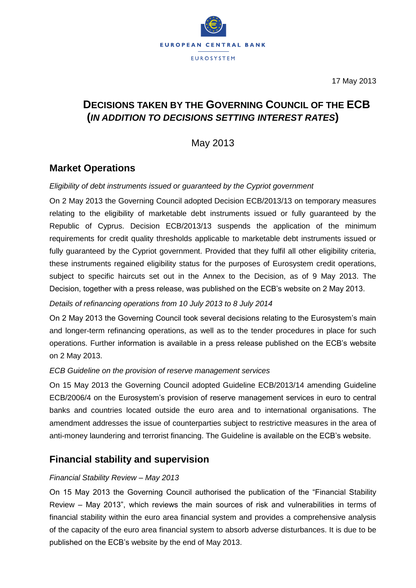

17 May 2013

# **DECISIONS TAKEN BY THE GOVERNING COUNCIL OF THE ECB (***IN ADDITION TO DECISIONS SETTING INTEREST RATES***)**

May 2013

## **Market Operations**

### *Eligibility of debt instruments issued or guaranteed by the Cypriot government*

On 2 May 2013 the Governing Council adopted Decision ECB/2013/13 on temporary measures relating to the eligibility of marketable debt instruments issued or fully guaranteed by the Republic of Cyprus. Decision ECB/2013/13 suspends the application of the minimum requirements for credit quality thresholds applicable to marketable debt instruments issued or fully guaranteed by the Cypriot government. Provided that they fulfil all other eligibility criteria, these instruments regained eligibility status for the purposes of Eurosystem credit operations, subject to specific haircuts set out in the Annex to the Decision, as of 9 May 2013. The Decision, together with a press release, was published on the ECB's website on 2 May 2013.

*Details of refinancing operations from 10 July 2013 to 8 July 2014*

On 2 May 2013 the Governing Council took several decisions relating to the Eurosystem's main and longer-term refinancing operations, as well as to the tender procedures in place for such operations. Further information is available in a press release published on the ECB's website on 2 May 2013.

#### *ECB Guideline on the provision of reserve management services*

On 15 May 2013 the Governing Council adopted Guideline ECB/2013/14 amending Guideline ECB/2006/4 on the Eurosystem's provision of reserve management services in euro to central banks and countries located outside the euro area and to international organisations. The amendment addresses the issue of counterparties subject to restrictive measures in the area of anti-money laundering and terrorist financing. The Guideline is available on the ECB's website.

## **Financial stability and supervision**

### *Financial Stability Review – May 2013*

On 15 May 2013 the Governing Council authorised the publication of the "Financial Stability Review – May 2013", which reviews the main sources of risk and vulnerabilities in terms of financial stability within the euro area financial system and provides a comprehensive analysis of the capacity of the euro area financial system to absorb adverse disturbances. It is due to be published on the ECB's website by the end of May 2013.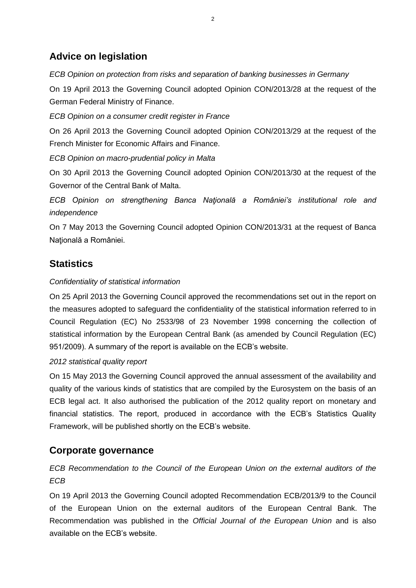## **Advice on legislation**

*ECB Opinion on protection from risks and separation of banking businesses in Germany*

On 19 April 2013 the Governing Council adopted Opinion CON/2013/28 at the request of the German Federal Ministry of Finance.

*ECB Opinion on a consumer credit register in France*

On 26 April 2013 the Governing Council adopted Opinion CON/2013/29 at the request of the French Minister for Economic Affairs and Finance.

*ECB Opinion on macro-prudential policy in Malta*

On 30 April 2013 the Governing Council adopted Opinion CON/2013/30 at the request of the Governor of the Central Bank of Malta.

*ECB Opinion on strengthening Banca Naţională a României's institutional role and independence*

On 7 May 2013 the Governing Council adopted Opinion CON/2013/31 at the request of Banca Naţională a României.

# **Statistics**

### *Confidentiality of statistical information*

On 25 April 2013 the Governing Council approved the recommendations set out in the report on the measures adopted to safeguard the confidentiality of the statistical information referred to in Council Regulation (EC) No 2533/98 of 23 November 1998 concerning the collection of statistical information by the European Central Bank (as amended by Council Regulation (EC) 951/2009). A summary of the report is available on the ECB's website.

### *2012 statistical quality report*

On 15 May 2013 the Governing Council approved the annual assessment of the availability and quality of the various kinds of statistics that are compiled by the Eurosystem on the basis of an ECB legal act. It also authorised the publication of the 2012 quality report on monetary and financial statistics. The report, produced in accordance with the ECB's Statistics Quality Framework, will be published shortly on the ECB's website.

### **Corporate governance**

*ECB Recommendation to the Council of the European Union on the external auditors of the ECB*

On 19 April 2013 the Governing Council adopted Recommendation ECB/2013/9 to the Council of the European Union on the external auditors of the European Central Bank. The Recommendation was published in the *Official Journal of the European Union* and is also available on the ECB's website.